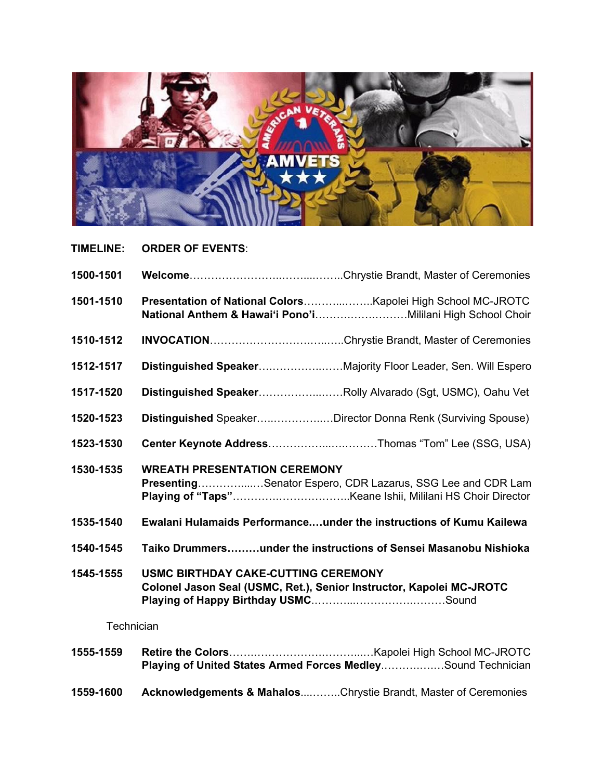

**TIMELINE: ORDER OF EVENTS**:

| 1500-1501  |                                                                                                                    |                                                              |
|------------|--------------------------------------------------------------------------------------------------------------------|--------------------------------------------------------------|
| 1501-1510  |                                                                                                                    |                                                              |
| 1510-1512  |                                                                                                                    |                                                              |
| 1512-1517  |                                                                                                                    | Distinguished SpeakerMajority Floor Leader, Sen. Will Espero |
| 1517-1520  |                                                                                                                    | Distinguished SpeakerRolly Alvarado (Sgt, USMC), Oahu Vet    |
| 1520-1523  |                                                                                                                    | Distinguished SpeakerDirector Donna Renk (Surviving Spouse)  |
| 1523-1530  |                                                                                                                    | Center Keynote AddressThomas "Tom" Lee (SSG, USA)            |
| 1530-1535  | <b>WREATH PRESENTATION CEREMONY</b>                                                                                | PresentingSenator Espero, CDR Lazarus, SSG Lee and CDR Lam   |
| 1535-1540  | <b>Ewalani Hulamaids Performanceunder the instructions of Kumu Kailewa</b>                                         |                                                              |
| 1540-1545  | Taiko Drummersunder the instructions of Sensei Masanobu Nishioka                                                   |                                                              |
| 1545-1555  | <b>USMC BIRTHDAY CAKE-CUTTING CEREMONY</b><br>Colonel Jason Seal (USMC, Ret.), Senior Instructor, Kapolei MC-JROTC |                                                              |
| Technician |                                                                                                                    |                                                              |
| 1555-1559  |                                                                                                                    | Playing of United States Armed Forces MedleySound Technician |

**1559-1600 Acknowledgements & Mahalos**....……..Chrystie Brandt, Master of Ceremonies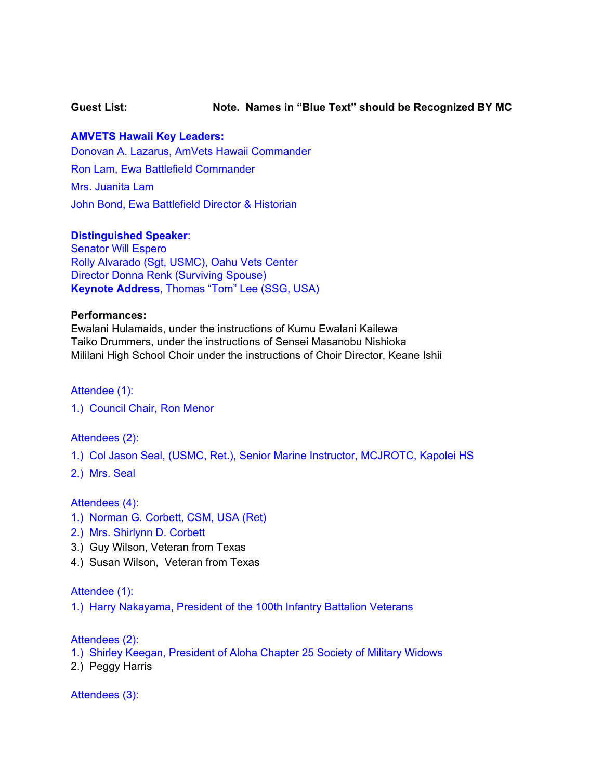## **Guest List: Note. Names in "Blue Text" should be Recognized BY MC**

## **AMVETS Hawaii Key Leaders:**

Donovan A. Lazarus, AmVets Hawaii Commander Ron Lam, Ewa Battlefield Commander Mrs. Juanita Lam John Bond, Ewa Battlefield Director & Historian

### **Distinguished Speaker**:

Senator Will Espero Rolly Alvarado (Sgt, USMC), Oahu Vets Center Director Donna Renk (Surviving Spouse) **Keynote Address**, Thomas "Tom" Lee (SSG, USA)

### **Performances:**

Ewalani Hulamaids, under the instructions of Kumu Ewalani Kailewa Taiko Drummers, under the instructions of Sensei Masanobu Nishioka Mililani High School Choir under the instructions of Choir Director, Keane Ishii

Attendee (1):

1.) Council Chair, Ron Menor

Attendees (2):

- 1.) Col Jason Seal, (USMC, Ret.), Senior Marine Instructor, MCJROTC, Kapolei HS
- 2.) Mrs. Seal

Attendees (4):

- 1.) Norman G. Corbett, CSM, USA (Ret)
- 2.) Mrs. Shirlynn D. Corbett
- 3.) Guy Wilson, Veteran from Texas
- 4.) Susan Wilson, Veteran from Texas

Attendee (1):

1.) Harry Nakayama, President of the 100th Infantry Battalion Veterans

Attendees (2):

1.) Shirley Keegan, President of Aloha Chapter 25 Society of Military Widows

2.) Peggy Harris

Attendees (3):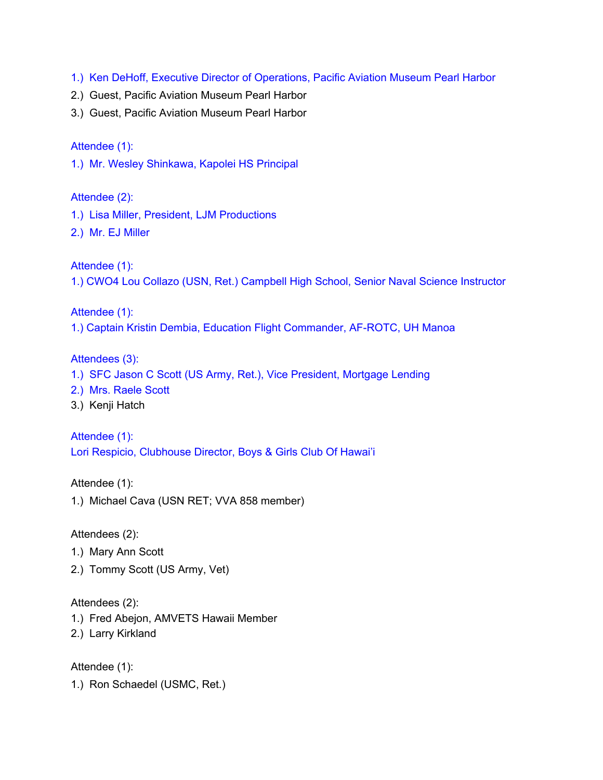- 1.) Ken DeHoff, Executive Director of Operations, Pacific Aviation Museum Pearl Harbor
- 2.) Guest, Pacific Aviation Museum Pearl Harbor
- 3.) Guest, Pacific Aviation Museum Pearl Harbor

# Attendee (1):

1.) Mr. Wesley Shinkawa, Kapolei HS Principal

Attendee (2):

- 1.) Lisa Miller, President, LJM Productions
- 2.) Mr. EJ Miller

Attendee (1):

1.) CWO4 Lou Collazo (USN, Ret.) Campbell High School, Senior Naval Science Instructor

Attendee (1):

1.) Captain Kristin Dembia, Education Flight Commander, AF-ROTC, UH Manoa

# Attendees (3):

- 1.) SFC Jason C Scott (US Army, Ret.), Vice President, Mortgage Lending
- 2.) Mrs. Raele Scott
- 3.) Kenji Hatch

Attendee (1): Lori Respicio, Clubhouse Director, Boys & Girls Club Of Hawai'i

Attendee (1):

1.) Michael Cava (USN RET; VVA 858 member)

Attendees (2):

- 1.) Mary Ann Scott
- 2.) Tommy Scott (US Army, Vet)

Attendees (2):

- 1.) Fred Abejon, AMVETS Hawaii Member
- 2.) Larry Kirkland

Attendee (1):

1.) Ron Schaedel (USMC, Ret.)